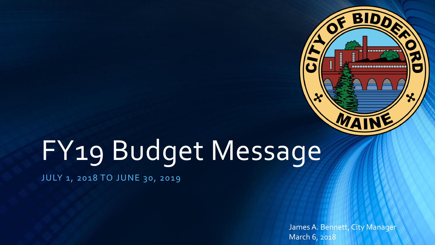

# FY19 Budget Message

JULY 1, 2018 TO JUNE 30, 2019

James A. Bennett, City Manager March 6, 2018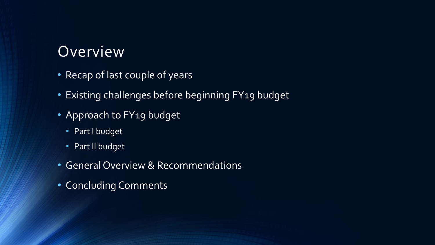### Overview

- Recap of last couple of years
- Existing challenges before beginning FY19 budget
- Approach to FY19 budget
	- Part I budget
	- Part II budget
- General Overview & Recommendations
- Concluding Comments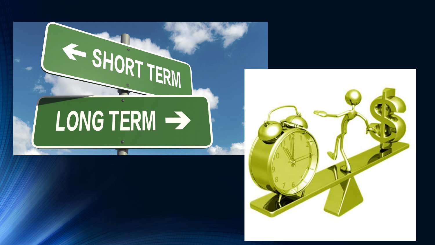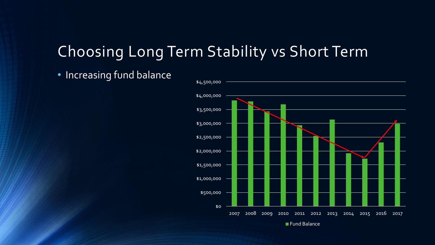• Increasing fund balance

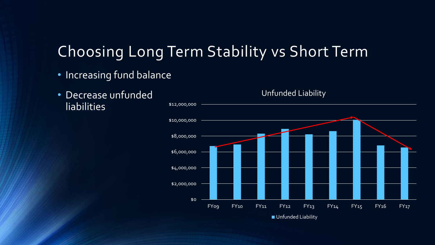- Increasing fund balance
- Decrease unfunded **liabilities**

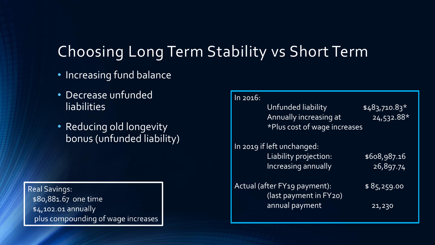- Increasing fund balance
- Decrease unfunded **liabilities**
- Reducing old longevity bonus (unfunded liability)

**Real Savings:** \$80,881.67 one time \$4,102.01 annually plus compounding of wage increases

| In 2016:                                 |                |
|------------------------------------------|----------------|
| Unfunded liability                       | $$483,710.83*$ |
| Annually increasing at                   | $24,532.88*$   |
| *Plus cost of wage increases             |                |
|                                          |                |
| In 2019 if left unchanged:               |                |
| Liability projection:                    | \$608,987.16   |
| <b>Increasing annually</b>               | 26,897.74      |
| Actual (after FY <sub>19</sub> payment): | \$85,259.00    |
| (last payment in FY20)                   |                |
| annual payment                           | 21,230         |
|                                          |                |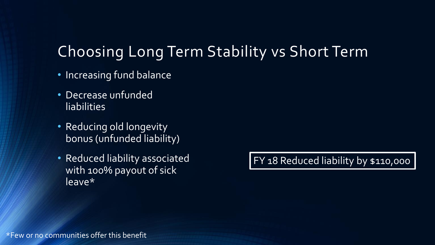- Increasing fund balance
- Decrease unfunded liabilities
- Reducing old longevity bonus (unfunded liability)
- Reduced liability associated with 100% payout of sick leave\*

FY 18 Reduced liability by \$110,000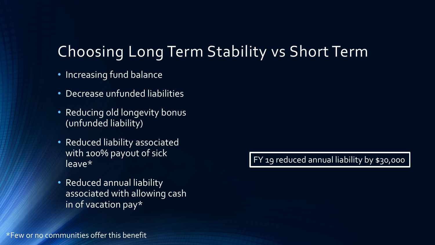- Increasing fund balance
- Decrease unfunded liabilities
- Reducing old longevity bonus (unfunded liability)
- Reduced liability associated with 100% payout of sick leave\*
- Reduced annual liability associated with allowing cash in of vacation pay\*

FY 19 reduced annual liability by \$30,000

\*Few or no communities offer this benefit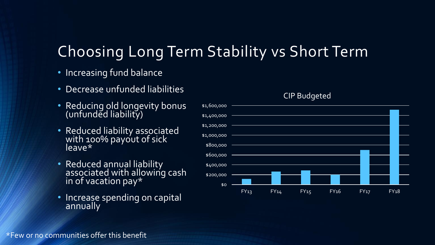- Increasing fund balance
- Decrease unfunded liabilities
- Reducing old longevity bonus (unfunded liability)
- Reduced liability associated with 100% payout of sick leave\*
- Reduced annual liability associated with allowing cash in of vacation pay\*
- Increase spending on capital annually



#### CIP Budgeted

\*Few or no communities offer this benefit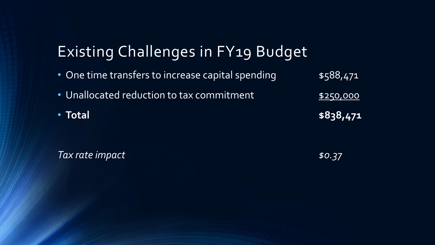# Existing Challenges in FY19 Budget

• One time transfers to increase capital spending  $$588,471$ • Unallocated reduction to tax commitment **\$250,000** • **Total \$838,471**

*Tax rate impact* \$0.37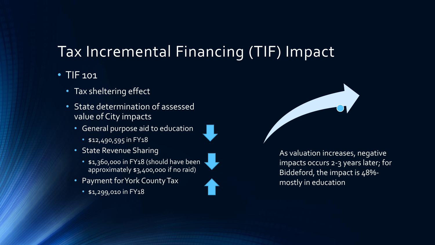### Tax Incremental Financing (TIF) Impact

#### • TIF 101

- Tax sheltering effect
- State determination of assessed value of City impacts
	- General purpose aid to education
		- \$12,490,595 in FY18
	- State Revenue Sharing
		- \$1,360,000 in FY18 (should have been approximately \$3,400,000 if no raid)
	- Payment for York County Tax
		- \$1,299,010 in FY18



As valuation increases, negative impacts occurs 2-3 years later; for Biddeford, the impact is 48% mostly in education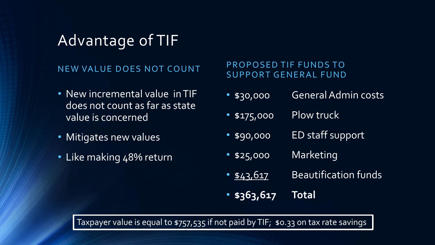### Advantage of TIF

#### NEW VALUE DOES NOT COUNT

- New incremental value in TIF does not count as far as state value is concerned
- Mitigates new values
- Like making 48% return

PROPOSED TIF FUNDS TO SUPPORT GENERAL FUND

- \$30,000 General Admin costs
- \$175,000 Plow truck
- \$90,000 ED staff support
- \$25,000 Marketing
- \$43,617 Beautification funds
- **\$363,617 Total**

Taxpayer value is equal to \$757,535 if not paid by TIF; \$0.33 on tax rate savings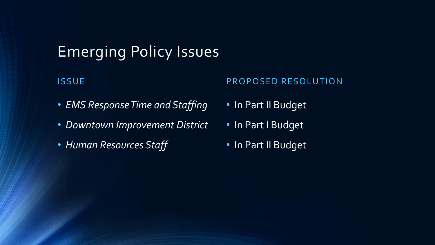### Emerging Policy Issues

#### **ISSUE**

#### PROPOSED RESOLUTION

- *EMS Response Time and Staffing*
- *Downtown Improvement District*
- *Human Resources Staff*
- In Part II Budget
- In Part I Budget
- In Part II Budget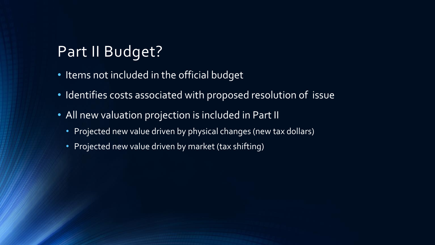### Part II Budget?

- Items not included in the official budget
- Identifies costs associated with proposed resolution of issue
- All new valuation projection is included in Part II
	- Projected new value driven by physical changes (new tax dollars)
	- Projected new value driven by market (tax shifting)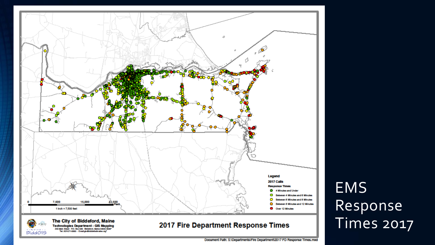

# EMS Response Times 2017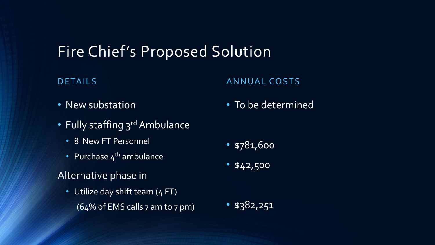### Fire Chief's Proposed Solution

#### DETAILS

#### ANNUAL COSTS

• To be determined

- New substation
- Fully staffing 3<sup>rd</sup> Ambulance
	- 8 New FT Personnel
	- Purchase  $4^{th}$  ambulance

#### Alternative phase in

• Utilize day shift team (4 FT)  $(64\% \text{ of EMS calls } 7 \text{ am to } 7 \text{ pm})$ 

• \$382,251

- \$781,600
- $\bullet$  \$42,500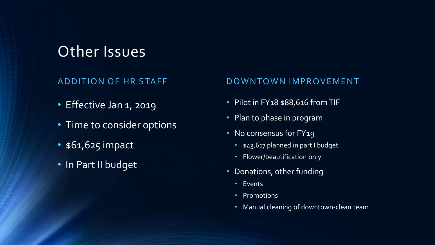### Other Issues

#### ADDITION OF HR STAFF

- Effective Jan 1, 2019
- Time to consider options
- \$61,625 impact
- In Part II budget

#### DOWNTOWN IMPROVEMENT

- Pilot in FY18 \$88,616 from TIF
- Plan to phase in program
- No consensus for FY19
	- \$43,617 planned in part I budget
	- Flower/beautification only
- Donations, other funding
	- Events
	- Promotions
	- Manual cleaning of downtown-clean team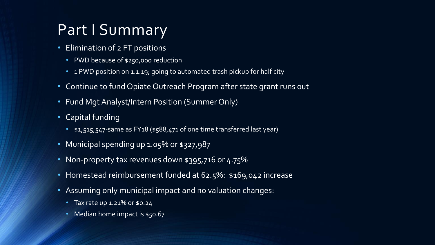### Part I Summary

- Elimination of 2 FT positions
	- PWD because of \$250,000 reduction
	- 1 PWD position on 1.1.19; going to automated trash pickup for half city
- Continue to fund Opiate Outreach Program after state grant runs out
- Fund Mgt Analyst/Intern Position (Summer Only)
- Capital funding
	- \$1,515,547-same as FY18 (\$588,471 of one time transferred last year)
- Municipal spending up 1.05% or \$327,987
- Non-property tax revenues down \$395,716 or 4.75%
- Homestead reimbursement funded at 62.5%: \$169,042 increase
- Assuming only municipal impact and no valuation changes:
	- Tax rate up 1.21% or \$0.24
	- Median home impact is \$50.67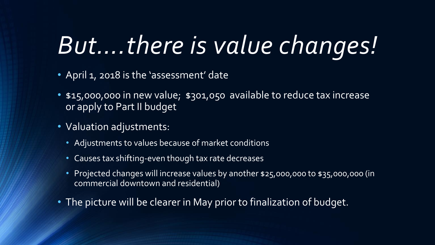# *But….there is value changes!*

- April 1, 2018 is the 'assessment' date
- \$15,000,000 in new value; \$301,050 available to reduce tax increase or apply to Part II budget
- Valuation adjustments:
	- Adjustments to values because of market conditions
	- Causes tax shifting-even though tax rate decreases
	- Projected changes will increase values by another \$25,000,000 to \$35,000,000 (in commercial downtown and residential)
- The picture will be clearer in May prior to finalization of budget.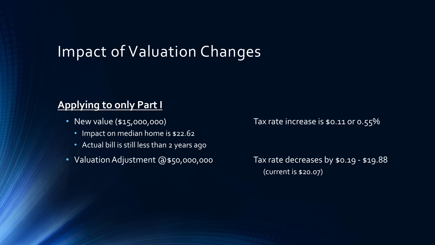### Impact of Valuation Changes

### **Applying to only Part I**

- - Impact on median home is \$22.62
	- Actual bill is still less than 2 years ago
- Valuation Adjustment @\$50,000,000 Tax rate decreases by \$0.19 \$19.88

• New value (\$15,000,000) Tax rate increase is \$0.11 or 0.55%

(current is \$20.07)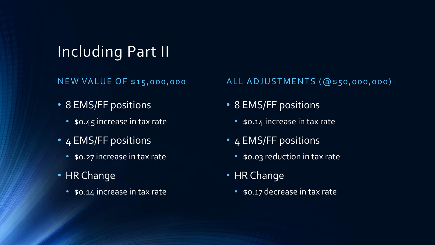## Including Part II

NEW VALUE OF \$15,000,000

- 8 EMS/FF positions
	- \$0.45 increase in tax rate
- 4 EMS/FF positions
	- \$0.27 increase in tax rate
- HR Change
	- \$0.14 increase in tax rate

#### ALL ADJUSTMENTS (@\$50,000,000)

- 8 EMS/FF positions
	- \$0.14 increase in tax rate
- 4 EMS/FF positions
	- \$0.03 reduction in tax rate
- HR Change
	- \$0.17 decrease in tax rate